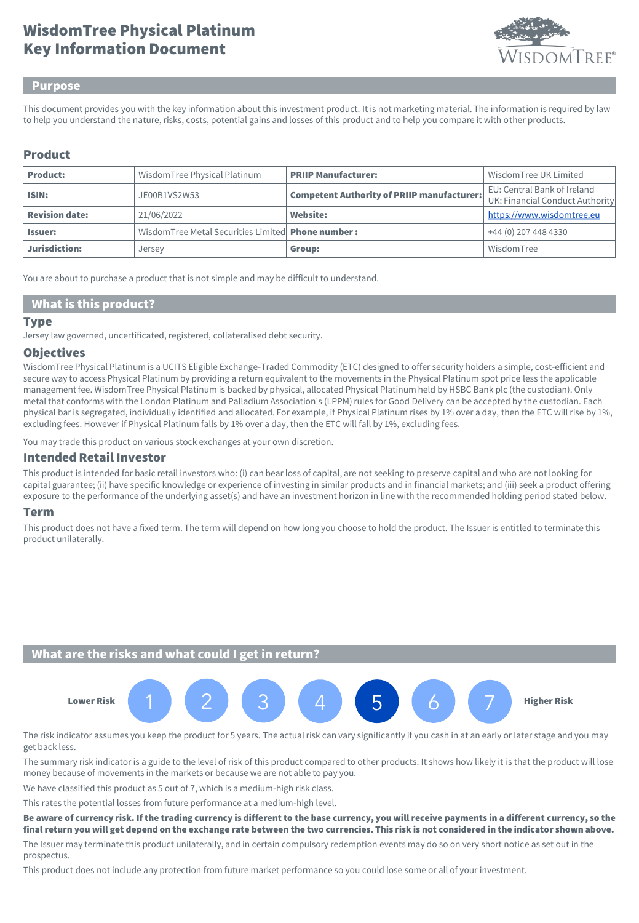# Key Information Document WisdomTree Physical Platinum



#### Purpose

This document provides you with the key information about this investment product. It is not marketing material. The information is required by law to help you understand the nature, risks, costs, potential gains and losses of this product and to help you compare it with other products.

## Product

| <b>Product:</b>       | WisdomTree Physical Platinum                      | <b>PRIIP Manufacturer:</b>                        | Wisdom Tree UK Limited                                         |
|-----------------------|---------------------------------------------------|---------------------------------------------------|----------------------------------------------------------------|
| ISIN:                 | JE00B1VS2W53                                      | <b>Competent Authority of PRIIP manufacturer:</b> | EU: Central Bank of Ireland<br>UK: Financial Conduct Authority |
| <b>Revision date:</b> | 21/06/2022                                        | <b>Website:</b>                                   | https://www.wisdomtree.eu                                      |
| <b>Issuer:</b>        | WisdomTree Metal Securities Limited Phone number: |                                                   | +44 (0) 207 448 4330                                           |
| Jurisdiction:         | Jersey                                            | Group:                                            | WisdomTree                                                     |

You are about to purchase a product that is not simple and may be difficult to understand.

#### What is this product?

#### **Type**

Jersey law governed, uncertificated, registered, collateralised debt security.

#### **Objectives**

WisdomTree Physical Platinum is a UCITS Eligible Exchange-Traded Commodity (ETC) designed to offer security holders a simple, cost-efficient and secure way to access Physical Platinum by providing a return equivalent to the movements in the Physical Platinum spot price less the applicable management fee. WisdomTree Physical Platinum is backed by physical, allocated Physical Platinum held by HSBC Bank plc (the custodian). Only metal that conforms with the London Platinum and Palladium Association's (LPPM) rules for Good Delivery can be accepted by the custodian. Each physical bar is segregated, individually identified and allocated. For example, if Physical Platinum rises by 1% over a day, then the ETC will rise by 1%, excluding fees. However if Physical Platinum falls by 1% over a day, then the ETC will fall by 1%, excluding fees.

You may trade this product on various stock exchanges at your own discretion.

#### Intended Retail Investor

This product is intended for basic retail investors who: (i) can bear loss of capital, are not seeking to preserve capital and who are not looking for capital guarantee; (ii) have specific knowledge or experience of investing in similar products and in financial markets; and (iii) seek a product offering exposure to the performance of the underlying asset(s) and have an investment horizon in line with the recommended holding period stated below.

#### Term

This product does not have a fixed term. The term will depend on how long you choose to hold the product. The Issuer is entitled to terminate this product unilaterally.

## What are the risks and what could I get in return?



The risk indicator assumes you keep the product for 5 years. The actual risk can vary significantly if you cash in at an early or later stage and you may get back less.

The summary risk indicator is a guide to the level of risk of this product compared to other products. It shows how likely it is that the product will lose money because of movements in the markets or because we are not able to pay you.

We have classified this product as 5 out of 7, which is a medium-high risk class.

This rates the potential losses from future performance at a medium-high level.

Be aware of currency risk. If the trading currency is different to the base currency, you will receive payments in a different currency, so the final return you will get depend on the exchange rate between the two currencies. This risk is not considered in the indicator shown above.

The Issuer may terminate this product unilaterally, and in certain compulsory redemption events may do so on very short notice as set out in the prospectus.

This product does not include any protection from future market performance so you could lose some or all of your investment.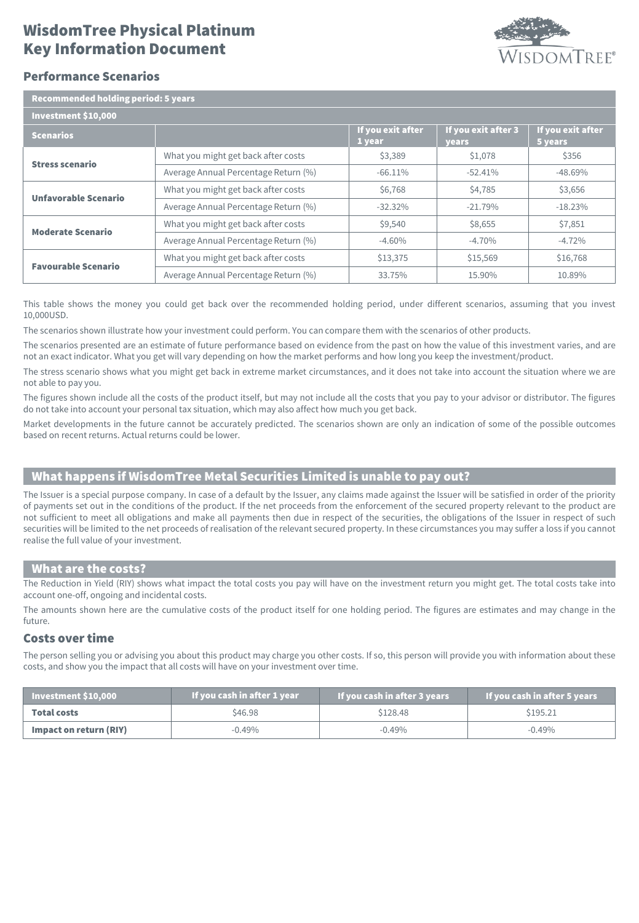# Key Information Document WisdomTree Physical Platinum



### Performance Scenarios

| <b>Recommended holding period: 5 years</b> |                                      |                             |                              |                              |  |  |
|--------------------------------------------|--------------------------------------|-----------------------------|------------------------------|------------------------------|--|--|
| Investment \$10,000                        |                                      |                             |                              |                              |  |  |
| <b>Scenarios</b>                           |                                      | If you exit after<br>1 year | If you exit after 3<br>years | If you exit after<br>5 years |  |  |
| <b>Stress scenario</b>                     | What you might get back after costs  | \$3,389                     | \$1,078                      | \$356                        |  |  |
|                                            | Average Annual Percentage Return (%) | $-66.11\%$                  | $-52.41%$                    | $-48.69%$                    |  |  |
| Unfavorable Scenario                       | What you might get back after costs  | \$6,768                     | \$4,785                      | \$3,656                      |  |  |
|                                            | Average Annual Percentage Return (%) | $-32.32\%$                  | $-21.79%$                    | $-18.23%$                    |  |  |
| <b>Moderate Scenario</b>                   | What you might get back after costs  | \$9,540                     | \$8,655                      | \$7,851                      |  |  |
|                                            | Average Annual Percentage Return (%) | $-4.60%$                    | $-4.70%$                     | $-4.72%$                     |  |  |
| <b>Favourable Scenario</b>                 | What you might get back after costs  | \$13,375                    | \$15,569                     | \$16,768                     |  |  |
|                                            | Average Annual Percentage Return (%) | 33.75%                      | 15.90%                       | 10.89%                       |  |  |

This table shows the money you could get back over the recommended holding period, under different scenarios, assuming that you invest 10,000USD.

The scenarios shown illustrate how your investment could perform. You can compare them with the scenarios of other products.

The scenarios presented are an estimate of future performance based on evidence from the past on how the value of this investment varies, and are not an exact indicator. What you get will vary depending on how the market performs and how long you keep the investment/product.

The stress scenario shows what you might get back in extreme market circumstances, and it does not take into account the situation where we are not able to pay you.

The figures shown include all the costs of the product itself, but may not include all the costs that you pay to your advisor or distributor. The figures do not take into account your personal tax situation, which may also affect how much you get back.

Market developments in the future cannot be accurately predicted. The scenarios shown are only an indication of some of the possible outcomes based on recent returns. Actual returns could be lower.

## What happens if WisdomTree Metal Securities Limited is unable to pay out?

The Issuer is a special purpose company. In case of a default by the Issuer, any claims made against the Issuer will be satisfied in order of the priority of payments set out in the conditions of the product. If the net proceeds from the enforcement of the secured property relevant to the product are not sufficient to meet all obligations and make all payments then due in respect of the securities, the obligations of the Issuer in respect of such securities will be limited to the net proceeds of realisation of the relevant secured property. In these circumstances you may suffer a loss if you cannot realise the full value of your investment.

#### What are the costs?

The Reduction in Yield (RIY) shows what impact the total costs you pay will have on the investment return you might get. The total costs take into account one-off, ongoing and incidental costs.

The amounts shown here are the cumulative costs of the product itself for one holding period. The figures are estimates and may change in the future.

## Costs over time

The person selling you or advising you about this product may charge you other costs. If so, this person will provide you with information about these costs, and show you the impact that all costs will have on your investment over time.

| If you cash in after 1 year<br>$\blacksquare$ Investment \$10,000 $\blacksquare$ |          | If you cash in after 3 years | If you cash in after 5 years |  |
|----------------------------------------------------------------------------------|----------|------------------------------|------------------------------|--|
| <b>Total costs</b>                                                               | \$46.98  | \$128.48                     | \$195.21                     |  |
| Impact on return (RIY)                                                           | $-0.49%$ | $-0.49\%$                    | $-0.49\%$                    |  |